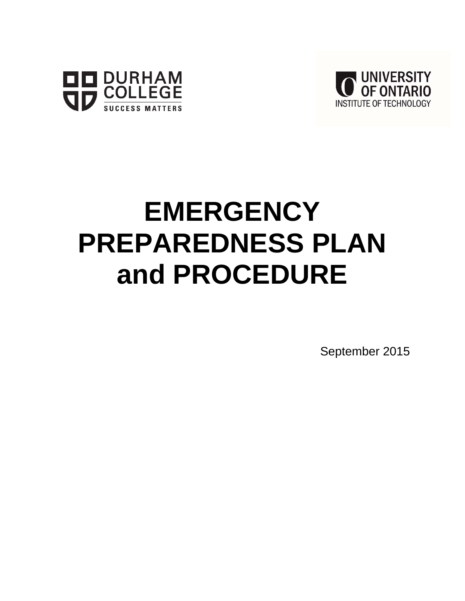



# **EMERGENCY PREPAREDNESS PLAN and PROCEDURE**

September 2015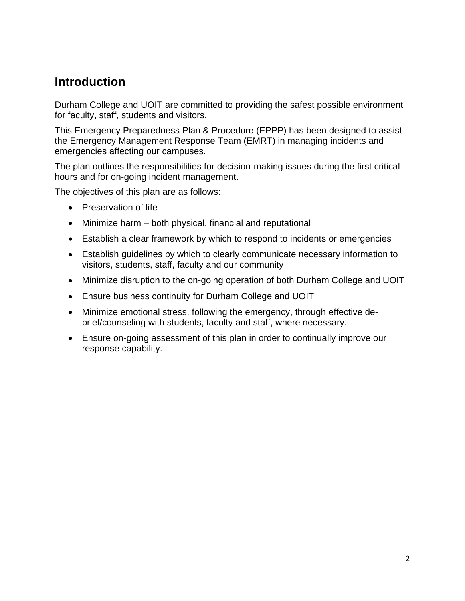# **Introduction**

Durham College and UOIT are committed to providing the safest possible environment for faculty, staff, students and visitors.

This Emergency Preparedness Plan & Procedure (EPPP) has been designed to assist the Emergency Management Response Team (EMRT) in managing incidents and emergencies affecting our campuses.

The plan outlines the responsibilities for decision-making issues during the first critical hours and for on-going incident management.

The objectives of this plan are as follows:

- Preservation of life
- Minimize harm both physical, financial and reputational
- Establish a clear framework by which to respond to incidents or emergencies
- Establish guidelines by which to clearly communicate necessary information to visitors, students, staff, faculty and our community
- Minimize disruption to the on-going operation of both Durham College and UOIT
- Ensure business continuity for Durham College and UOIT
- Minimize emotional stress, following the emergency, through effective debrief/counseling with students, faculty and staff, where necessary.
- Ensure on-going assessment of this plan in order to continually improve our response capability.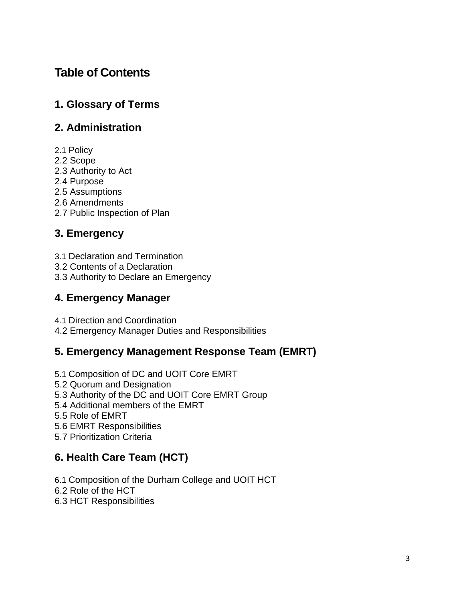# **Table of Contents**

# **1. Glossary of Terms**

# **2. Administration**

- 2.1 Policy
- 2.2 Scope
- 2.3 Authority to Act
- 2.4 Purpose
- 2.5 Assumptions
- 2.6 Amendments
- 2.7 Public Inspection of Plan

# **3. Emergency**

- 3.1 Declaration and Termination
- 3.2 Contents of a Declaration
- 3.3 Authority to Declare an Emergency

# **4. Emergency Manager**

4.1 Direction and Coordination

4.2 Emergency Manager Duties and Responsibilities

# **5. Emergency Management Response Team (EMRT)**

- 5.1 Composition of DC and UOIT Core EMRT
- 5.2 Quorum and Designation
- 5.3 Authority of the DC and UOIT Core EMRT Group
- 5.4 Additional members of the EMRT
- 5.5 Role of EMRT
- 5.6 EMRT Responsibilities
- 5.7 Prioritization Criteria

# **6. Health Care Team (HCT)**

6.1 Composition of the Durham College and UOIT HCT

6.2 Role of the HCT

6.3 HCT Responsibilities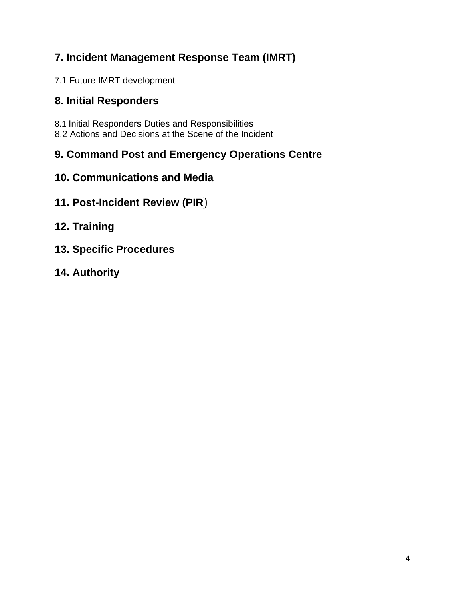# **7. Incident Management Response Team (IMRT)**

7.1 Future IMRT development

# **8. Initial Responders**

8.1 Initial Responders Duties and Responsibilities 8.2 Actions and Decisions at the Scene of the Incident

# **9. Command Post and Emergency Operations Centre**

- **10. Communications and Media**
- **11. Post-Incident Review (PIR**)
- **12. Training**
- **13. Specific Procedures**
- **14. Authority**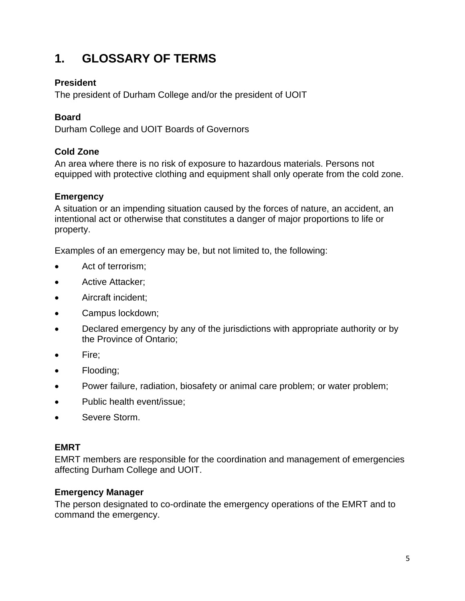# **1. GLOSSARY OF TERMS**

## **President**

The president of Durham College and/or the president of UOIT

## **Board**

Durham College and UOIT Boards of Governors

## **Cold Zone**

An area where there is no risk of exposure to hazardous materials. Persons not equipped with protective clothing and equipment shall only operate from the cold zone.

## **Emergency**

A situation or an impending situation caused by the forces of nature, an accident, an intentional act or otherwise that constitutes a danger of major proportions to life or property.

Examples of an emergency may be, but not limited to, the following:

- Act of terrorism;
- Active Attacker;
- Aircraft incident;
- Campus lockdown;
- Declared emergency by any of the jurisdictions with appropriate authority or by the Province of Ontario;
- Fire;
- Flooding:
- Power failure, radiation, biosafety or animal care problem; or water problem;
- Public health event/issue;
- Severe Storm.

## **EMRT**

EMRT members are responsible for the coordination and management of emergencies affecting Durham College and UOIT.

## **Emergency Manager**

The person designated to co-ordinate the emergency operations of the EMRT and to command the emergency.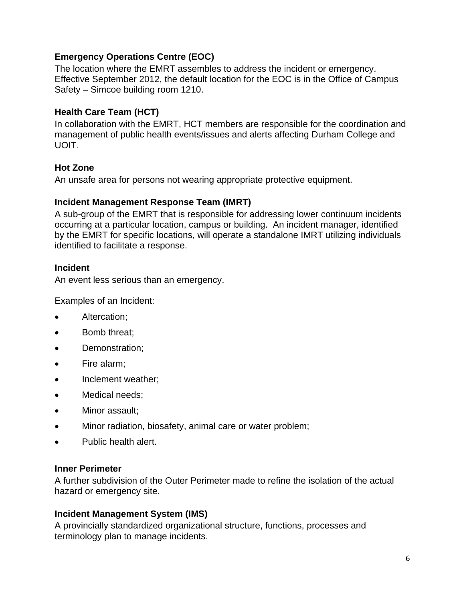## **Emergency Operations Centre (EOC)**

The location where the EMRT assembles to address the incident or emergency. Effective September 2012, the default location for the EOC is in the Office of Campus Safety – Simcoe building room 1210.

## **Health Care Team (HCT)**

In collaboration with the EMRT, HCT members are responsible for the coordination and management of public health events/issues and alerts affecting Durham College and UOIT.

## **Hot Zone**

An unsafe area for persons not wearing appropriate protective equipment.

## **Incident Management Response Team (IMRT)**

A sub-group of the EMRT that is responsible for addressing lower continuum incidents occurring at a particular location, campus or building. An incident manager, identified by the EMRT for specific locations, will operate a standalone IMRT utilizing individuals identified to facilitate a response.

## **Incident**

An event less serious than an emergency.

Examples of an Incident:

- Altercation;
- Bomb threat:
- Demonstration:
- Fire alarm;
- Inclement weather;
- Medical needs;
- Minor assault;
- Minor radiation, biosafety, animal care or water problem;
- Public health alert.

#### **Inner Perimeter**

A further subdivision of the Outer Perimeter made to refine the isolation of the actual hazard or emergency site.

#### **Incident Management System (IMS)**

A provincially standardized organizational structure, functions, processes and terminology plan to manage incidents.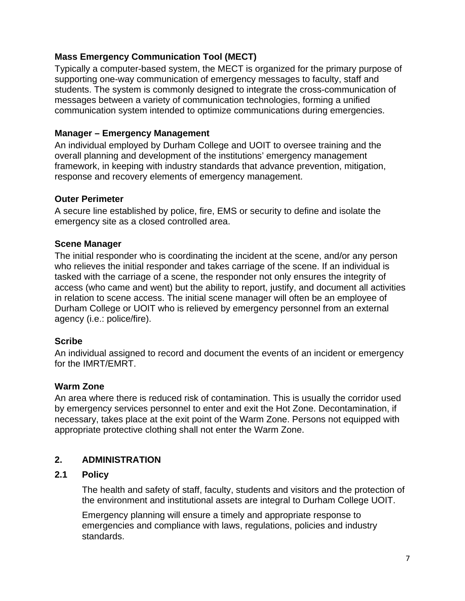## **Mass Emergency Communication Tool (MECT)**

Typically a computer-based system, the MECT is organized for the primary purpose of supporting one-way communication of emergency messages to faculty, staff and students. The system is commonly designed to integrate the cross-communication of messages between a variety of communication technologies, forming a unified communication system intended to optimize communications during emergencies.

## **Manager – Emergency Management**

An individual employed by Durham College and UOIT to oversee training and the overall planning and development of the institutions' emergency management framework, in keeping with industry standards that advance prevention, mitigation, response and recovery elements of emergency management.

## **Outer Perimeter**

A secure line established by police, fire, EMS or security to define and isolate the emergency site as a closed controlled area.

## **Scene Manager**

The initial responder who is coordinating the incident at the scene, and/or any person who relieves the initial responder and takes carriage of the scene. If an individual is tasked with the carriage of a scene, the responder not only ensures the integrity of access (who came and went) but the ability to report, justify, and document all activities in relation to scene access. The initial scene manager will often be an employee of Durham College or UOIT who is relieved by emergency personnel from an external agency (i.e.: police/fire).

#### **Scribe**

An individual assigned to record and document the events of an incident or emergency for the IMRT/EMRT.

## **Warm Zone**

An area where there is reduced risk of contamination. This is usually the corridor used by emergency services personnel to enter and exit the Hot Zone. Decontamination, if necessary, takes place at the exit point of the Warm Zone. Persons not equipped with appropriate protective clothing shall not enter the Warm Zone.

## **2. ADMINISTRATION**

## **2.1 Policy**

The health and safety of staff, faculty, students and visitors and the protection of the environment and institutional assets are integral to Durham College UOIT.

Emergency planning will ensure a timely and appropriate response to emergencies and compliance with laws, regulations, policies and industry standards.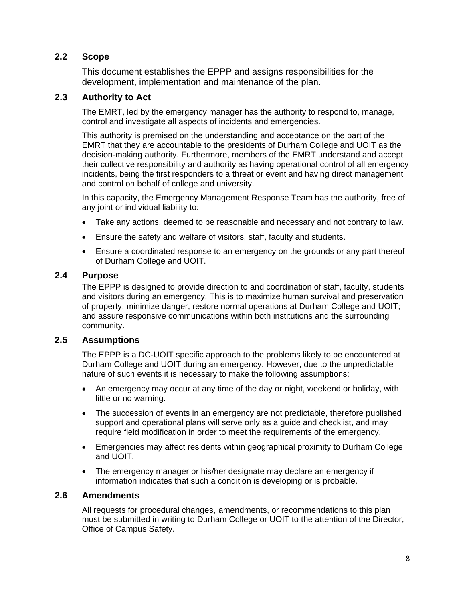## **2.2 Scope**

This document establishes the EPPP and assigns responsibilities for the development, implementation and maintenance of the plan.

#### **2.3 Authority to Act**

The EMRT, led by the emergency manager has the authority to respond to, manage, control and investigate all aspects of incidents and emergencies.

This authority is premised on the understanding and acceptance on the part of the EMRT that they are accountable to the presidents of Durham College and UOIT as the decision-making authority. Furthermore, members of the EMRT understand and accept their collective responsibility and authority as having operational control of all emergency incidents, being the first responders to a threat or event and having direct management and control on behalf of college and university.

In this capacity, the Emergency Management Response Team has the authority, free of any joint or individual liability to:

- Take any actions, deemed to be reasonable and necessary and not contrary to law.
- Ensure the safety and welfare of visitors, staff, faculty and students.
- Ensure a coordinated response to an emergency on the grounds or any part thereof of Durham College and UOIT.

#### **2.4 Purpose**

The EPPP is designed to provide direction to and coordination of staff, faculty, students and visitors during an emergency. This is to maximize human survival and preservation of property, minimize danger, restore normal operations at Durham College and UOIT; and assure responsive communications within both institutions and the surrounding community.

#### **2.5 Assumptions**

The EPPP is a DC-UOIT specific approach to the problems likely to be encountered at Durham College and UOIT during an emergency. However, due to the unpredictable nature of such events it is necessary to make the following assumptions:

- An emergency may occur at any time of the day or night, weekend or holiday, with little or no warning.
- The succession of events in an emergency are not predictable, therefore published support and operational plans will serve only as a guide and checklist, and may require field modification in order to meet the requirements of the emergency.
- Emergencies may affect residents within geographical proximity to Durham College and UOIT.
- The emergency manager or his/her designate may declare an emergency if information indicates that such a condition is developing or is probable.

#### **2.6 Amendments**

All requests for procedural changes, amendments, or recommendations to this plan must be submitted in writing to Durham College or UOIT to the attention of the Director, Office of Campus Safety.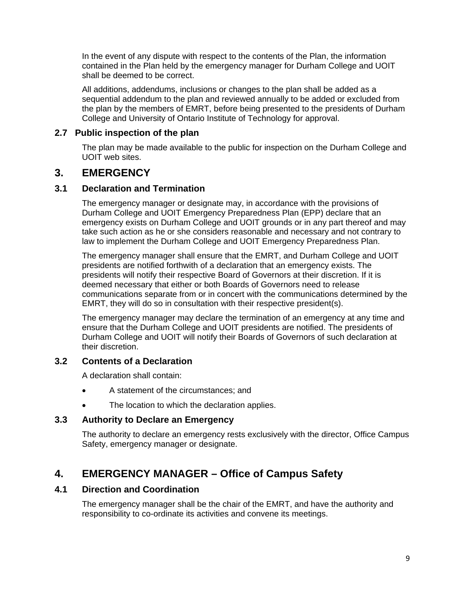In the event of any dispute with respect to the contents of the Plan, the information contained in the Plan held by the emergency manager for Durham College and UOIT shall be deemed to be correct.

All additions, addendums, inclusions or changes to the plan shall be added as a sequential addendum to the plan and reviewed annually to be added or excluded from the plan by the members of EMRT, before being presented to the presidents of Durham College and University of Ontario Institute of Technology for approval.

## **2.7 Public inspection of the plan**

The plan may be made available to the public for inspection on the Durham College and UOIT web sites.

## **3. EMERGENCY**

#### **3.1 Declaration and Termination**

The emergency manager or designate may, in accordance with the provisions of Durham College and UOIT Emergency Preparedness Plan (EPP) declare that an emergency exists on Durham College and UOIT grounds or in any part thereof and may take such action as he or she considers reasonable and necessary and not contrary to law to implement the Durham College and UOIT Emergency Preparedness Plan.

The emergency manager shall ensure that the EMRT, and Durham College and UOIT presidents are notified forthwith of a declaration that an emergency exists. The presidents will notify their respective Board of Governors at their discretion. If it is deemed necessary that either or both Boards of Governors need to release communications separate from or in concert with the communications determined by the EMRT, they will do so in consultation with their respective president(s).

The emergency manager may declare the termination of an emergency at any time and ensure that the Durham College and UOIT presidents are notified. The presidents of Durham College and UOIT will notify their Boards of Governors of such declaration at their discretion.

## **3.2 Contents of a Declaration**

A declaration shall contain:

- A statement of the circumstances; and
- The location to which the declaration applies.

#### **3.3 Authority to Declare an Emergency**

The authority to declare an emergency rests exclusively with the director, Office Campus Safety, emergency manager or designate.

## **4. EMERGENCY MANAGER – Office of Campus Safety**

## **4.1 Direction and Coordination**

The emergency manager shall be the chair of the EMRT, and have the authority and responsibility to co-ordinate its activities and convene its meetings.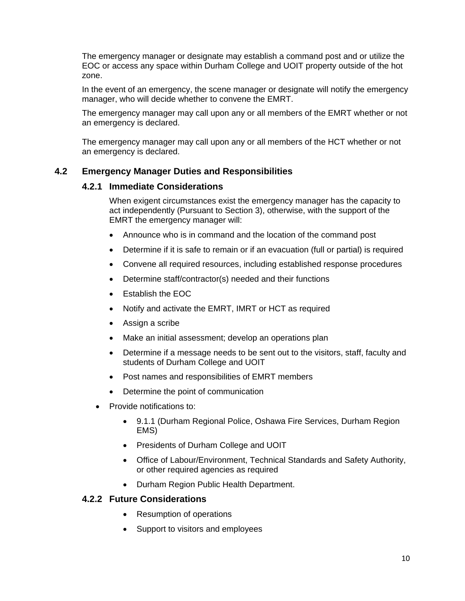The emergency manager or designate may establish a command post and or utilize the EOC or access any space within Durham College and UOIT property outside of the hot zone.

In the event of an emergency, the scene manager or designate will notify the emergency manager, who will decide whether to convene the EMRT.

The emergency manager may call upon any or all members of the EMRT whether or not an emergency is declared.

The emergency manager may call upon any or all members of the HCT whether or not an emergency is declared.

#### **4.2 Emergency Manager Duties and Responsibilities**

#### **4.2.1 Immediate Considerations**

When exigent circumstances exist the emergency manager has the capacity to act independently (Pursuant to Section 3), otherwise, with the support of the EMRT the emergency manager will:

- Announce who is in command and the location of the command post
- Determine if it is safe to remain or if an evacuation (full or partial) is required
- Convene all required resources, including established response procedures
- Determine staff/contractor(s) needed and their functions
- Establish the EOC
- Notify and activate the EMRT, IMRT or HCT as required
- Assign a scribe
- Make an initial assessment; develop an operations plan
- Determine if a message needs to be sent out to the visitors, staff, faculty and students of Durham College and UOIT
- Post names and responsibilities of EMRT members
- Determine the point of communication
- Provide notifications to:
	- 9.1.1 (Durham Regional Police, Oshawa Fire Services, Durham Region EMS)
	- Presidents of Durham College and UOIT
	- Office of Labour/Environment, Technical Standards and Safety Authority, or other required agencies as required
	- Durham Region Public Health Department.

#### **4.2.2 Future Considerations**

- Resumption of operations
- Support to visitors and employees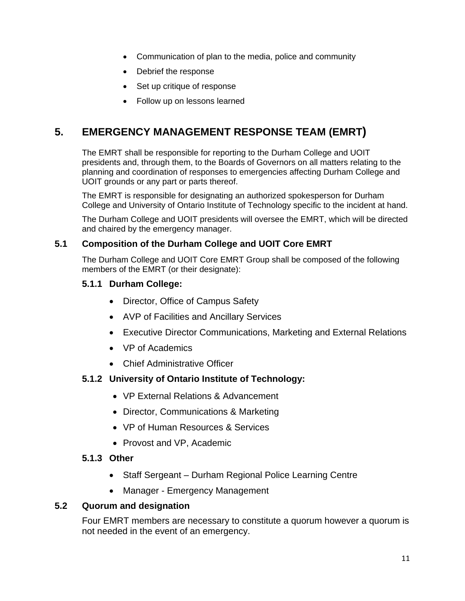- Communication of plan to the media, police and community
- Debrief the response
- Set up critique of response
- Follow up on lessons learned

## **5. EMERGENCY MANAGEMENT RESPONSE TEAM (EMRT)**

The EMRT shall be responsible for reporting to the Durham College and UOIT presidents and, through them, to the Boards of Governors on all matters relating to the planning and coordination of responses to emergencies affecting Durham College and UOIT grounds or any part or parts thereof.

The EMRT is responsible for designating an authorized spokesperson for Durham College and University of Ontario Institute of Technology specific to the incident at hand.

The Durham College and UOIT presidents will oversee the EMRT, which will be directed and chaired by the emergency manager.

#### **5.1 Composition of the Durham College and UOIT Core EMRT**

The Durham College and UOIT Core EMRT Group shall be composed of the following members of the EMRT (or their designate):

#### **5.1.1 Durham College:**

- Director, Office of Campus Safety
- AVP of Facilities and Ancillary Services
- Executive Director Communications, Marketing and External Relations
- VP of Academics
- Chief Administrative Officer

#### **5.1.2 University of Ontario Institute of Technology:**

- VP External Relations & Advancement
- Director, Communications & Marketing
- VP of Human Resources & Services
- Provost and VP, Academic

#### **5.1.3 Other**

- Staff Sergeant Durham Regional Police Learning Centre
- Manager Emergency Management

#### **5.2 Quorum and designation**

Four EMRT members are necessary to constitute a quorum however a quorum is not needed in the event of an emergency.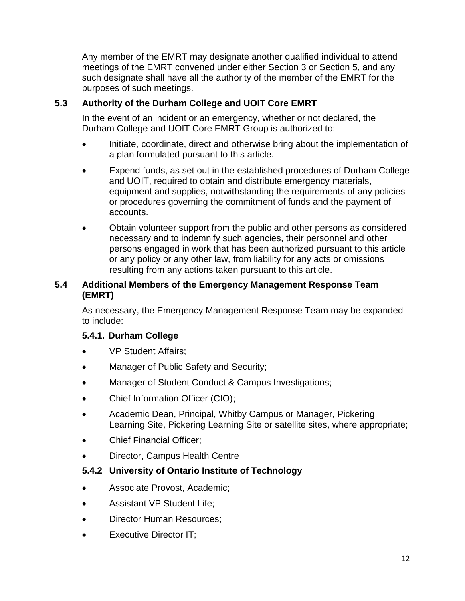Any member of the EMRT may designate another qualified individual to attend meetings of the EMRT convened under either Section 3 or Section 5, and any such designate shall have all the authority of the member of the EMRT for the purposes of such meetings.

## **5.3 Authority of the Durham College and UOIT Core EMRT**

In the event of an incident or an emergency, whether or not declared, the Durham College and UOIT Core EMRT Group is authorized to:

- Initiate, coordinate, direct and otherwise bring about the implementation of a plan formulated pursuant to this article.
- Expend funds, as set out in the established procedures of Durham College and UOIT, required to obtain and distribute emergency materials, equipment and supplies, notwithstanding the requirements of any policies or procedures governing the commitment of funds and the payment of accounts.
- Obtain volunteer support from the public and other persons as considered necessary and to indemnify such agencies, their personnel and other persons engaged in work that has been authorized pursuant to this article or any policy or any other law, from liability for any acts or omissions resulting from any actions taken pursuant to this article.

## **5.4 Additional Members of the Emergency Management Response Team (EMRT)**

As necessary, the Emergency Management Response Team may be expanded to include:

## **5.4.1. Durham College**

- VP Student Affairs;
- Manager of Public Safety and Security;
- Manager of Student Conduct & Campus Investigations;
- Chief Information Officer (CIO);
- Academic Dean, Principal, Whitby Campus or Manager, Pickering Learning Site, Pickering Learning Site or satellite sites, where appropriate;
- Chief Financial Officer;
- Director, Campus Health Centre

## **5.4.2 University of Ontario Institute of Technology**

- Associate Provost, Academic;
- Assistant VP Student Life;
- Director Human Resources;
- Executive Director IT;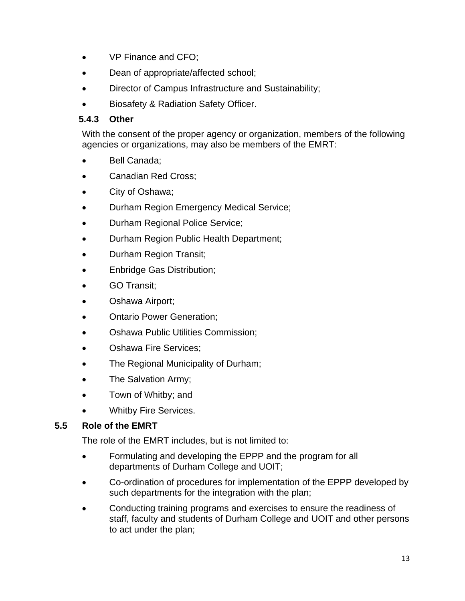- VP Finance and CFO;
- Dean of appropriate/affected school;
- Director of Campus Infrastructure and Sustainability;
- Biosafety & Radiation Safety Officer.

## **5.4.3 Other**

With the consent of the proper agency or organization, members of the following agencies or organizations, may also be members of the EMRT:

- Bell Canada:
- Canadian Red Cross;
- City of Oshawa;
- Durham Region Emergency Medical Service;
- Durham Regional Police Service;
- Durham Region Public Health Department;
- Durham Region Transit;
- Enbridge Gas Distribution;
- **GO Transit:**
- Oshawa Airport;
- Ontario Power Generation;
- Oshawa Public Utilities Commission;
- Oshawa Fire Services;
- The Regional Municipality of Durham;
- The Salvation Army;
- Town of Whitby; and
- Whitby Fire Services.

## **5.5 Role of the EMRT**

The role of the EMRT includes, but is not limited to:

- Formulating and developing the EPPP and the program for all departments of Durham College and UOIT;
- Co-ordination of procedures for implementation of the EPPP developed by such departments for the integration with the plan;
- Conducting training programs and exercises to ensure the readiness of staff, faculty and students of Durham College and UOIT and other persons to act under the plan;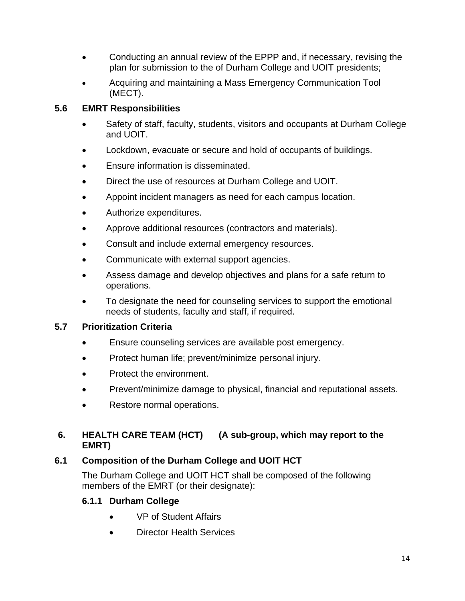- Conducting an annual review of the EPPP and, if necessary, revising the plan for submission to the of Durham College and UOIT presidents;
- Acquiring and maintaining a Mass Emergency Communication Tool (MECT).

## **5.6 EMRT Responsibilities**

- Safety of staff, faculty, students, visitors and occupants at Durham College and UOIT.
- Lockdown, evacuate or secure and hold of occupants of buildings.
- Ensure information is disseminated.
- Direct the use of resources at Durham College and UOIT.
- Appoint incident managers as need for each campus location.
- Authorize expenditures.
- Approve additional resources (contractors and materials).
- Consult and include external emergency resources.
- Communicate with external support agencies.
- Assess damage and develop objectives and plans for a safe return to operations.
- To designate the need for counseling services to support the emotional needs of students, faculty and staff, if required.

## **5.7 Prioritization Criteria**

- Ensure counseling services are available post emergency.
- Protect human life; prevent/minimize personal injury.
- Protect the environment.
- Prevent/minimize damage to physical, financial and reputational assets.
- Restore normal operations.

## **6. HEALTH CARE TEAM (HCT) (A sub-group, which may report to the EMRT)**

## **6.1 Composition of the Durham College and UOIT HCT**

The Durham College and UOIT HCT shall be composed of the following members of the EMRT (or their designate):

## **6.1.1 Durham College**

- VP of Student Affairs
- Director Health Services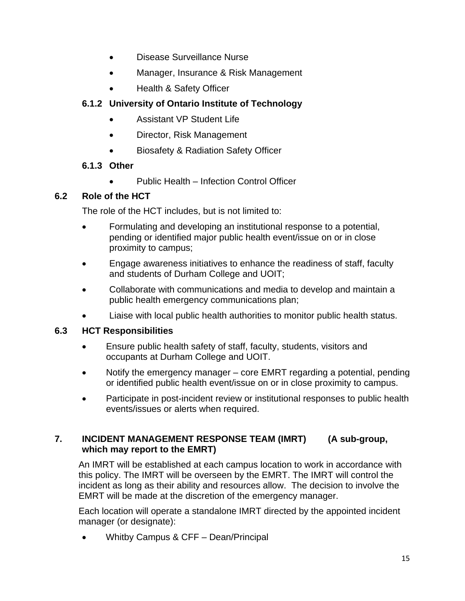- Disease Surveillance Nurse
- Manager, Insurance & Risk Management
- Health & Safety Officer

## **6.1.2 University of Ontario Institute of Technology**

- Assistant VP Student Life
- Director, Risk Management
- Biosafety & Radiation Safety Officer

## **6.1.3 Other**

 Public Health – Infection Control Officer

## **6.2 Role of the HCT**

The role of the HCT includes, but is not limited to:

- Formulating and developing an institutional response to a potential, pending or identified major public health event/issue on or in close proximity to campus;
- Engage awareness initiatives to enhance the readiness of staff, faculty and students of Durham College and UOIT;
- Collaborate with communications and media to develop and maintain a public health emergency communications plan;
- Liaise with local public health authorities to monitor public health status.

## **6.3 HCT Responsibilities**

- Ensure public health safety of staff, faculty, students, visitors and occupants at Durham College and UOIT.
- Notify the emergency manager core EMRT regarding a potential, pending or identified public health event/issue on or in close proximity to campus.
- Participate in post-incident review or institutional responses to public health events/issues or alerts when required.

## **7. INCIDENT MANAGEMENT RESPONSE TEAM (IMRT) (A sub-group, which may report to the EMRT)**

An IMRT will be established at each campus location to work in accordance with this policy. The IMRT will be overseen by the EMRT. The IMRT will control the incident as long as their ability and resources allow. The decision to involve the EMRT will be made at the discretion of the emergency manager.

Each location will operate a standalone IMRT directed by the appointed incident manager (or designate):

• Whitby Campus & CFF – Dean/Principal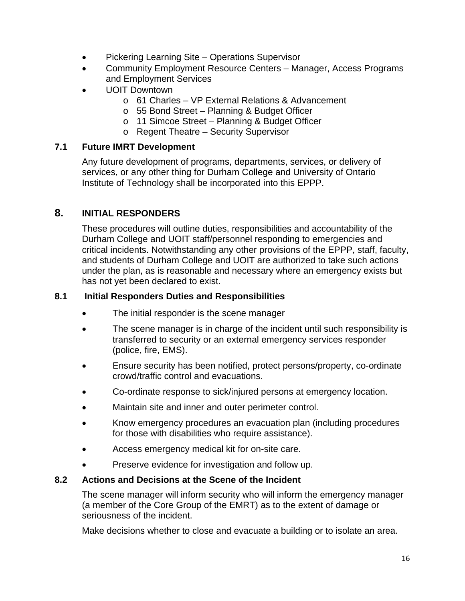- Pickering Learning Site Operations Supervisor
- Community Employment Resource Centers Manager, Access Programs and Employment Services
- UOIT Downtown
	- o 61 Charles VP External Relations & Advancement
	- o 55 Bond Street Planning & Budget Officer
	- o 11 Simcoe Street Planning & Budget Officer
	- o Regent Theatre Security Supervisor

#### **7.1 Future IMRT Development**

Any future development of programs, departments, services, or delivery of services, or any other thing for Durham College and University of Ontario Institute of Technology shall be incorporated into this EPPP.

## **8. INITIAL RESPONDERS**

These procedures will outline duties, responsibilities and accountability of the Durham College and UOIT staff/personnel responding to emergencies and critical incidents. Notwithstanding any other provisions of the EPPP, staff, faculty, and students of Durham College and UOIT are authorized to take such actions under the plan, as is reasonable and necessary where an emergency exists but has not yet been declared to exist.

#### **8.1 Initial Responders Duties and Responsibilities**

- The initial responder is the scene manager
- The scene manager is in charge of the incident until such responsibility is transferred to security or an external emergency services responder (police, fire, EMS).
- Ensure security has been notified, protect persons/property, co-ordinate crowd/traffic control and evacuations.
- Co-ordinate response to sick/injured persons at emergency location.
- Maintain site and inner and outer perimeter control.
- Know emergency procedures an evacuation plan (including procedures for those with disabilities who require assistance).
- Access emergency medical kit for on-site care.
- Preserve evidence for investigation and follow up.

#### **8.2 Actions and Decisions at the Scene of the Incident**

The scene manager will inform security who will inform the emergency manager (a member of the Core Group of the EMRT) as to the extent of damage or seriousness of the incident.

Make decisions whether to close and evacuate a building or to isolate an area.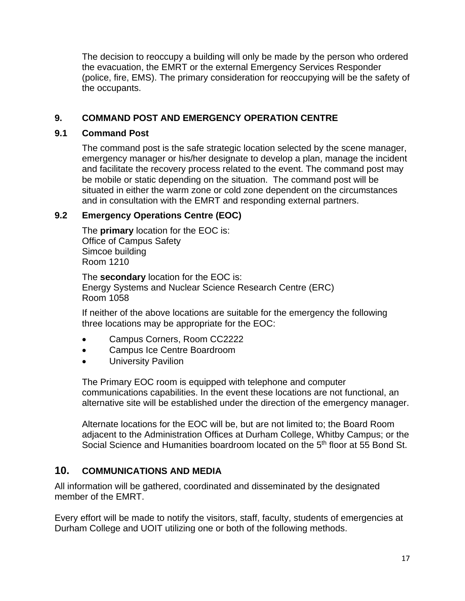The decision to reoccupy a building will only be made by the person who ordered the evacuation, the EMRT or the external Emergency Services Responder (police, fire, EMS). The primary consideration for reoccupying will be the safety of the occupants.

## **9. COMMAND POST AND EMERGENCY OPERATION CENTRE**

#### **9.1 Command Post**

The command post is the safe strategic location selected by the scene manager, emergency manager or his/her designate to develop a plan, manage the incident and facilitate the recovery process related to the event. The command post may be mobile or static depending on the situation. The command post will be situated in either the warm zone or cold zone dependent on the circumstances and in consultation with the EMRT and responding external partners.

## **9.2 Emergency Operations Centre (EOC)**

The **primary** location for the EOC is: Office of Campus Safety Simcoe building Room 1210

The **secondary** location for the EOC is: Energy Systems and Nuclear Science Research Centre (ERC) Room 1058

If neither of the above locations are suitable for the emergency the following three locations may be appropriate for the EOC:

- Campus Corners, Room CC2222
- Campus Ice Centre Boardroom
- University Pavilion

The Primary EOC room is equipped with telephone and computer communications capabilities. In the event these locations are not functional, an alternative site will be established under the direction of the emergency manager.

Alternate locations for the EOC will be, but are not limited to; the Board Room adjacent to the Administration Offices at Durham College, Whitby Campus; or the Social Science and Humanities boardroom located on the 5<sup>th</sup> floor at 55 Bond St.

## **10. COMMUNICATIONS AND MEDIA**

All information will be gathered, coordinated and disseminated by the designated member of the EMRT.

Every effort will be made to notify the visitors, staff, faculty, students of emergencies at Durham College and UOIT utilizing one or both of the following methods.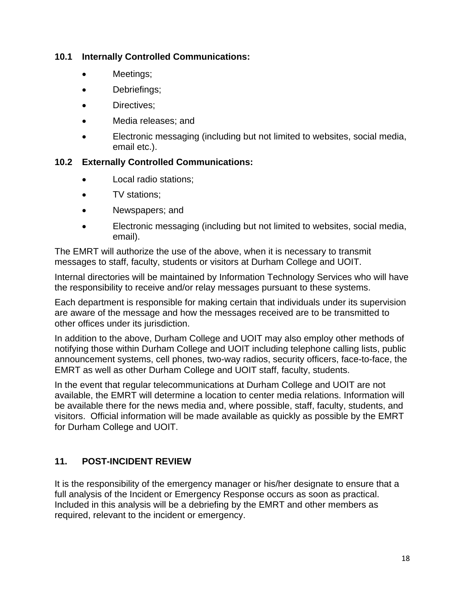## **10.1 Internally Controlled Communications:**

- Meetings;
- Debriefings;
- Directives;
- Media releases; and
- Electronic messaging (including but not limited to websites, social media, email etc.).

## **10.2 Externally Controlled Communications:**

- Local radio stations;
- TV stations;
- Newspapers; and
- Electronic messaging (including but not limited to websites, social media, email).

The EMRT will authorize the use of the above, when it is necessary to transmit messages to staff, faculty, students or visitors at Durham College and UOIT.

Internal directories will be maintained by Information Technology Services who will have the responsibility to receive and/or relay messages pursuant to these systems.

Each department is responsible for making certain that individuals under its supervision are aware of the message and how the messages received are to be transmitted to other offices under its jurisdiction.

In addition to the above, Durham College and UOIT may also employ other methods of notifying those within Durham College and UOIT including telephone calling lists, public announcement systems, cell phones, two-way radios, security officers, face-to-face, the EMRT as well as other Durham College and UOIT staff, faculty, students.

In the event that regular telecommunications at Durham College and UOIT are not available, the EMRT will determine a location to center media relations. Information will be available there for the news media and, where possible, staff, faculty, students, and visitors. Official information will be made available as quickly as possible by the EMRT for Durham College and UOIT.

## **11. POST-INCIDENT REVIEW**

It is the responsibility of the emergency manager or his/her designate to ensure that a full analysis of the Incident or Emergency Response occurs as soon as practical. Included in this analysis will be a debriefing by the EMRT and other members as required, relevant to the incident or emergency.